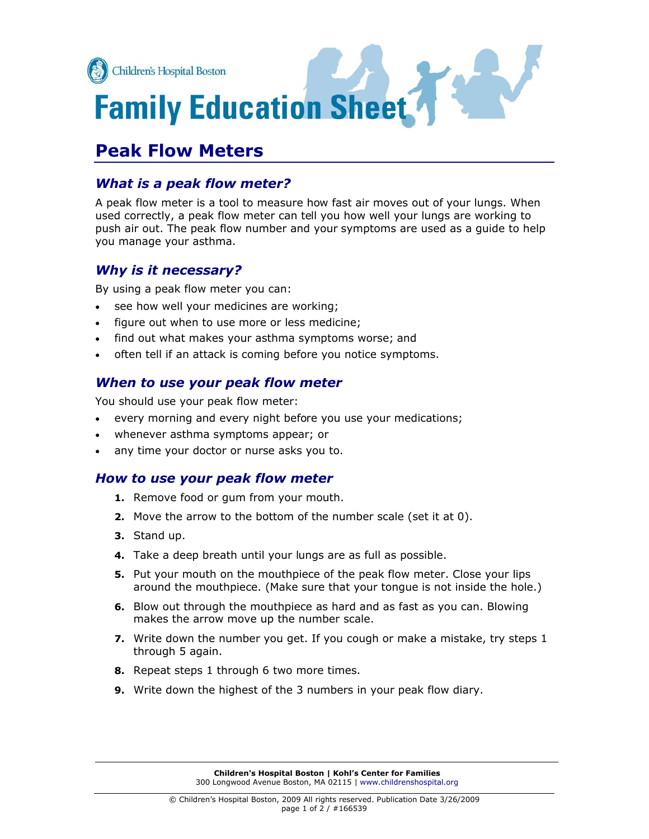

# **Peak Flow Meters**

## *What is a peak flow meter?*

A peak flow meter is a tool to measure how fast air moves out of your lungs. When used correctly, a peak flow meter can tell you how well your lungs are working to push air out. The peak flow number and your symptoms are used as a guide to help you manage your asthma.

# *Why is it necessary?*

By using a peak flow meter you can:

- . see how well your medicines are working;
- . figure out when to use more or less medicine;
- . find out what makes your asthma symptoms worse; and
- often tell if an attack is coming before you notice symptoms.

# *When to use your peak flow meter*

You should use your peak flow meter:

- every morning and every night before you use your medications;
- whenever asthma symptoms appear; or
- any time your doctor or nurse asks you to.

## *How to use your peak flow meter*

- **1.** Remove food or gum from your mouth.
- **2.** Move the arrow to the bottom of the number scale (set it at 0).
- **3.** Stand up.
- **4.** Take a deep breath until your lungs are as full as possible.
- **5.** Put your mouth on the mouthpiece of the peak flow meter. Close your lips around the mouthpiece. (Make sure that your tongue is not inside the hole.)
- **6.** Blow out through the mouthpiece as hard and as fast as you can. Blowing makes the arrow move up the number scale.
- **7.** Write down the number you get. If you cough or make a mistake, try steps 1 through 5 again.
- **8.** Repeat steps 1 through 6 two more times.
- **9.** Write down the highest of the 3 numbers in your peak flow diary.